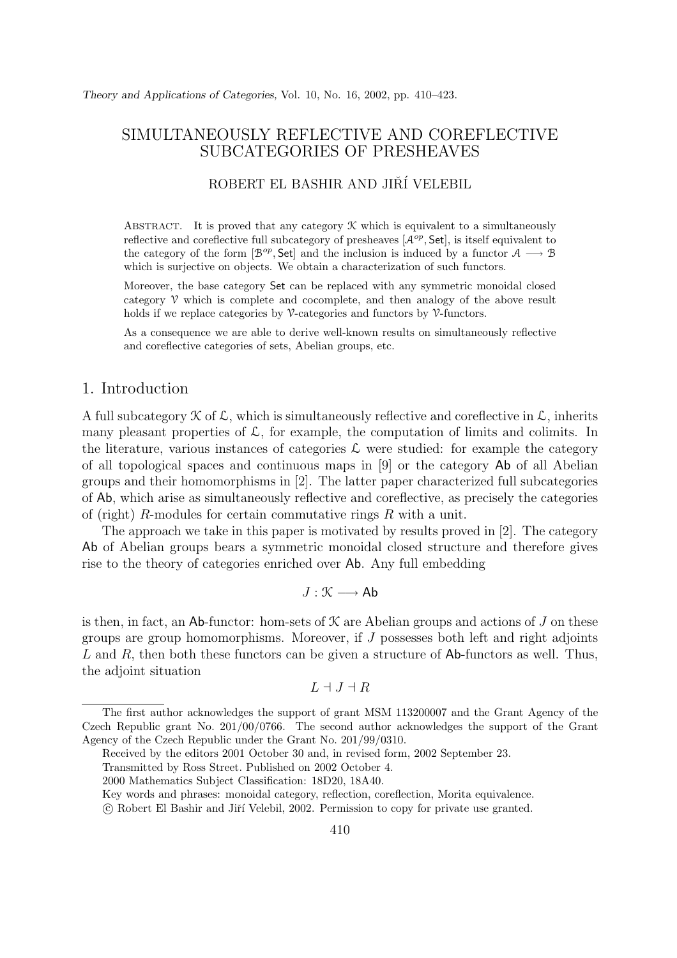# SIMULTANEOUSLY REFLECTIVE AND COREFLECTIVE SUBCATEGORIES OF PRESHEAVES

# ROBERT EL BASHIR AND JIŘÍ VELEBIL

ABSTRACT. It is proved that any category  $\mathcal K$  which is equivalent to a simultaneously reflective and coreflective full subcategory of presheaves  $[\mathcal{A}^{op}, \mathsf{Set}]$ , is itself equivalent to the category of the form  $[\mathcal{B}^{op}, \mathsf{Set}]$  and the inclusion is induced by a functor  $\mathcal{A} \longrightarrow \mathcal{B}$ which is surjective on objects. We obtain a characterization of such functors.

Moreover, the base category Set can be replaced with any symmetric monoidal closed category  $\mathcal V$  which is complete and cocomplete, and then analogy of the above result holds if we replace categories by  $\mathcal V$ -categories and functors by  $\mathcal V$ -functors.

As a consequence we are able to derive well-known results on simultaneously reflective and coreflective categories of sets, Abelian groups, etc.

### 1. Introduction

A full subcategory  $\mathcal K$  of  $\mathcal L$ , which is simultaneously reflective and coreflective in  $\mathcal L$ , inherits many pleasant properties of  $\mathcal{L}$ , for example, the computation of limits and colimits. In the literature, various instances of categories  $\mathcal L$  were studied: for example the category of all topological spaces and continuous maps in [9] or the category Ab of all Abelian groups and their homomorphisms in [2]. The latter paper characterized full subcategories of Ab, which arise as simultaneously reflective and coreflective, as precisely the categories of (right)  $R$ -modules for certain commutative rings  $R$  with a unit.

The approach we take in this paper is motivated by results proved in [2]. The category Ab of Abelian groups bears a symmetric monoidal closed structure and therefore gives rise to the theory of categories enriched over Ab. Any full embedding

 $J : \mathcal{K} \longrightarrow Ab$ 

is then, in fact, an Ab-functor: hom-sets of  $\mathcal K$  are Abelian groups and actions of J on these groups are group homomorphisms. Moreover, if J possesses both left and right adjoints L and R, then both these functors can be given a structure of  $\mathsf{Ab}\text{-}\mathsf{functors}$  as well. Thus, the adjoint situation

$$
L \dashv J \dashv R
$$

Key words and phrases: monoidal category, reflection, coreflection, Morita equivalence.

The first author acknowledges the support of grant MSM 113200007 and the Grant Agency of the Czech Republic grant No. 201/00/0766. The second author acknowledges the support of the Grant Agency of the Czech Republic under the Grant No. 201/99/0310.

Received by the editors 2001 October 30 and, in revised form, 2002 September 23.

Transmitted by Ross Street. Published on 2002 October 4.

<sup>2000</sup> Mathematics Subject Classification: 18D20, 18A40.

c Robert El Bashir and Jiˇr´ı Velebil, 2002. Permission to copy for private use granted.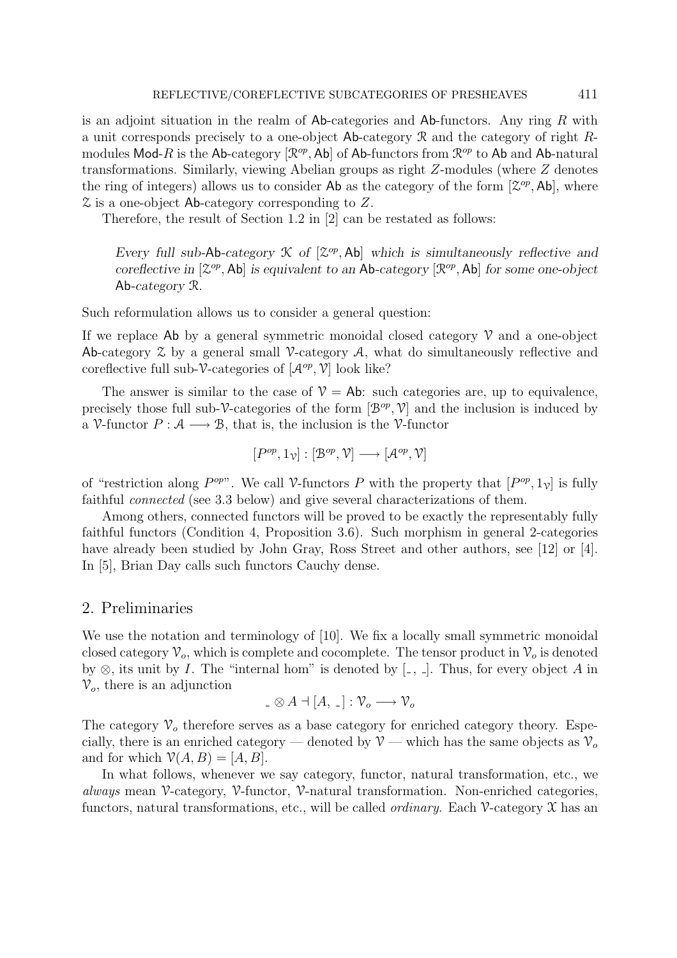is an adjoint situation in the realm of  $\mathsf{Ab}\text{-}\mathsf{c}$  and  $\mathsf{Ab}\text{-}\mathsf{functors.}$  Any ring R with a unit corresponds precisely to a one-object  $\mathsf{Ab}\text{-category } \mathcal{R}$  and the category of right  $R$ modules Mod-R is the Ab-category  $[\mathcal{R}^{op},\mathsf{Ab}]$  of Ab-functors from  $\mathcal{R}^{op}$  to Ab and Ab-natural transformations. Similarly, viewing Abelian groups as right Z-modules (where Z denotes the ring of integers) allows us to consider Ab as the category of the form  $[\mathcal{Z}^{op}, \mathsf{Ab}]$ , where Z is a one-object Ab-category corresponding to Z.

Therefore, the result of Section 1.2 in [2] can be restated as follows:

*Every full sub-Ab-category*  $K$  *of*  $[\mathcal{Z}^{op}, Ab]$  *which is simultaneously reflective and coreflective in*  $[\mathcal{Z}^{op}, Ab]$  *is equivalent to an* Ab-*category*  $[\mathcal{R}^{op}, Ab]$  *for some one-object* Ab*-category* R*.*

Such reformulation allows us to consider a general question:

If we replace Ab by a general symmetric monoidal closed category  $\mathcal V$  and a one-object Ab-category  $\mathcal Z$  by a general small V-category  $\mathcal A$ , what do simultaneously reflective and coreflective full sub-V-categories of  $[\mathcal{A}^{op}, \mathcal{V}]$  look like?

The answer is similar to the case of  $V = Ab$ : such categories are, up to equivalence, precisely those full sub-V-categories of the form  $[\mathcal{B}^{op}, \mathcal{V}]$  and the inclusion is induced by a V-functor  $P : A \longrightarrow B$ , that is, the inclusion is the V-functor

$$
[P^{op},1_{\mathcal{V}}]:[\mathcal{B}^{op},\mathcal{V}]\longrightarrow[\mathcal{A}^{op},\mathcal{V}]
$$

of "restriction along  $P^{op}$ ". We call V-functors P with the property that  $[P^{op}, 1_{\gamma}]$  is fully faithful connected (see 3.3 below) and give several characterizations of them.

Among others, connected functors will be proved to be exactly the representably fully faithful functors (Condition 4, Proposition 3.6). Such morphism in general 2-categories have already been studied by John Gray, Ross Street and other authors, see [12] or [4]. In [5], Brian Day calls such functors Cauchy dense.

### 2. Preliminaries

We use the notation and terminology of [10]. We fix a locally small symmetric monoidal closed category  $\mathcal{V}_o$ , which is complete and cocomplete. The tensor product in  $\mathcal{V}_o$  is denoted by  $\otimes$ , its unit by *I*. The "internal hom" is denoted by [ $\Box$ ,  $\Box$ ]. Thus, for every object *A* in  $V<sub>o</sub>$ , there is an adjunction

$$
\underline{\ \ }\otimes A=[A,\,\underline{\ \ }\,]:\mathcal{V}_o\longrightarrow \mathcal{V}_o
$$

The category  $V<sub>o</sub>$  therefore serves as a base category for enriched category theory. Especially, there is an enriched category — denoted by  $V$  — which has the same objects as  $V<sub>o</sub>$ and for which  $V(A, B)=[A, B]$ .

In what follows, whenever we say category, functor, natural transformation, etc., we always mean  $\mathcal V$ -category,  $\mathcal V$ -functor,  $\mathcal V$ -natural transformation. Non-enriched categories, functors, natural transformations, etc., will be called *ordinary*. Each  $\mathcal V$ -category  $\mathcal X$  has an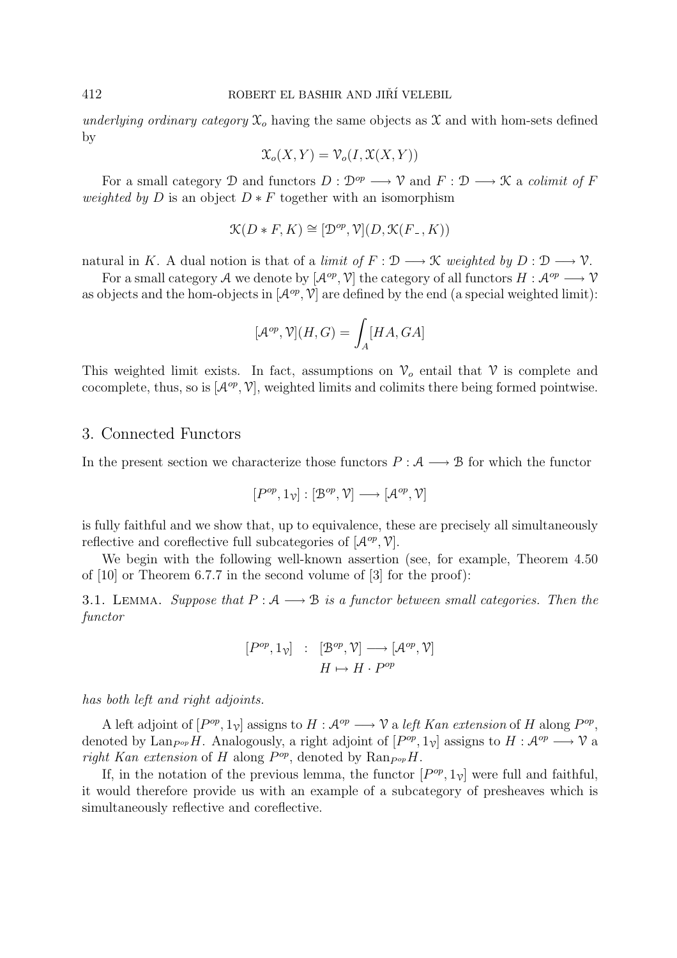underlying ordinary category  $\mathfrak{X}_o$  having the same objects as  $\mathfrak X$  and with hom-sets defined by

$$
\mathfrak{X}_o(X,Y) = \mathfrak{V}_o(I, \mathfrak{X}(X,Y))
$$

For a small category D and functors  $D: \mathcal{D}^{op} \longrightarrow \mathcal{V}$  and  $F: \mathcal{D} \longrightarrow \mathcal{K}$  a *colimit of* F *weighted by D* is an object  $D * F$  together with an isomorphism

$$
\mathcal{K}(D * F, K) \cong [\mathcal{D}^{op}, \mathcal{V}](D, \mathcal{K}(F_-, K))
$$

natural in K. A dual notion is that of a limit of  $F : \mathcal{D} \longrightarrow \mathcal{K}$  weighted by  $D : \mathcal{D} \longrightarrow \mathcal{V}$ .

For a small category A we denote by  $[\mathcal{A}^{op}, \mathcal{V}]$  the category of all functors  $H : \mathcal{A}^{op} \longrightarrow \mathcal{V}$ as objects and the hom-objects in  $[\mathcal{A}^{op}, \mathcal{V}]$  are defined by the end (a special weighted limit):

$$
[\mathcal{A}^{op},\mathcal{V}](H,G)=\int_{A}[HA,GA]
$$

This weighted limit exists. In fact, assumptions on  $\mathcal{V}_o$  entail that  $\mathcal V$  is complete and cocomplete, thus, so is  $[\mathcal{A}^{op}, \mathcal{V}]$ , weighted limits and colimits there being formed pointwise.

### 3. Connected Functors

In the present section we characterize those functors  $P : A \longrightarrow B$  for which the functor

$$
[P^{op}, 1_{\mathcal{V}}] : [\mathcal{B}^{op}, \mathcal{V}] \longrightarrow [\mathcal{A}^{op}, \mathcal{V}]
$$

is fully faithful and we show that, up to equivalence, these are precisely all simultaneously reflective and coreflective full subcategories of  $[\mathcal{A}^{op}, \mathcal{V}].$ 

We begin with the following well-known assertion (see, for example, Theorem 4.50) of [10] or Theorem 6.7.7 in the second volume of [3] for the proof):

3.1. LEMMA. Suppose that  $P : A \longrightarrow B$  is a functor between small categories. Then the functor

$$
[P^{op}, 1_{\mathcal{V}}] : [B^{op}, \mathcal{V}] \longrightarrow [\mathcal{A}^{op}, \mathcal{V}]
$$

$$
H \mapsto H \cdot P^{op}
$$

has both left and right adjoints.

A left adjoint of  $[P^{op}, 1_{\gamma}]$  assigns to  $H : \mathcal{A}^{op} \longrightarrow \mathcal{V}$  a left Kan extension of H along  $P^{op}$ , denoted by Lan<sub>P</sub><sup>op</sup>H. Analogously, a right adjoint of  $[P^{op}, 1_{\gamma}]$  assigns to  $H : \mathcal{A}^{op} \longrightarrow \mathcal{V}$  a right Kan extension of H along  $P^{op}$ , denoted by Ran $_{Pop}H$ .

If, in the notation of the previous lemma, the functor  $[P^{op}, 1_{\nu}]$  were full and faithful, it would therefore provide us with an example of a subcategory of presheaves which is simultaneously reflective and coreflective.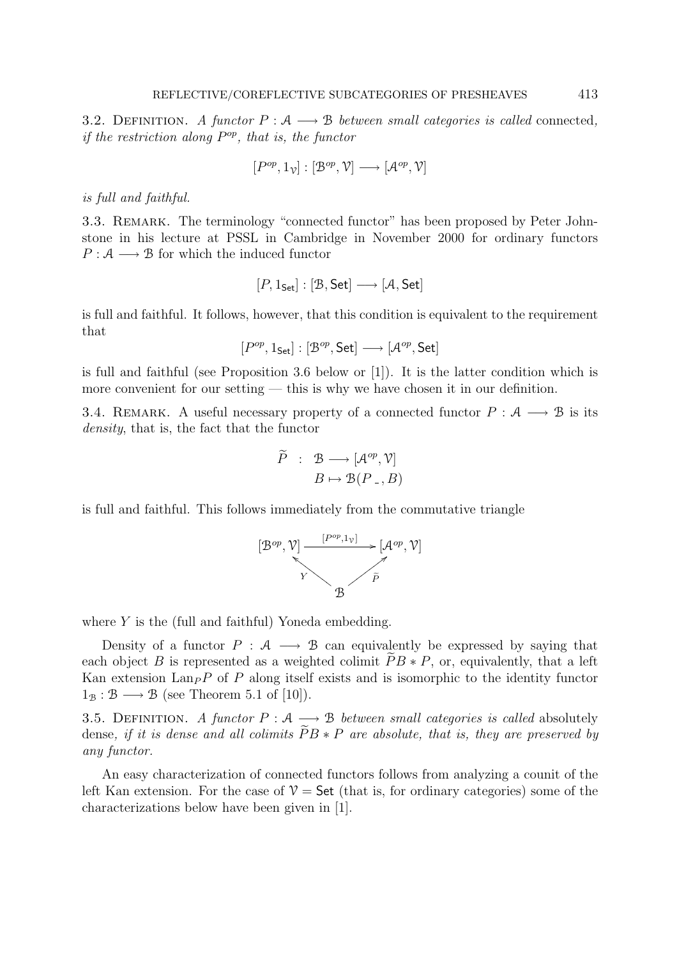3.2. DEFINITION. A functor  $P : A \longrightarrow B$  between small categories is called connected, if the restriction along  $P^{op}$ , that is, the functor

$$
[P^{op},1_{\mathcal{V}}]:[\mathcal{B}^{op},\mathcal{V}]\longrightarrow[\mathcal{A}^{op},\mathcal{V}]
$$

is full and faithful.

3.3. REMARK. The terminology "connected functor" has been proposed by Peter Johnstone in his lecture at PSSL in Cambridge in November 2000 for ordinary functors  $P: \mathcal{A} \longrightarrow \mathcal{B}$  for which the induced functor

$$
[P,1_{\mathsf{Set}}] : [\mathcal{B},\mathsf{Set}] \longrightarrow [\mathcal{A},\mathsf{Set}]
$$

is full and faithful. It follows, however, that this condition is equivalent to the requirement that

 $[P^{op}, 1_{Set}] : [B^{op}, Set] \longrightarrow [A^{op}, Set]$ 

is full and faithful (see Proposition 3.6 below or [1]). It is the latter condition which is more convenient for our setting — this is why we have chosen it in our definition.

3.4. REMARK. A useful necessary property of a connected functor  $P : A \longrightarrow B$  is its density, that is, the fact that the functor

$$
\widetilde{P} : \mathcal{B} \longrightarrow [\mathcal{A}^{op}, \mathcal{V}]
$$

$$
B \mapsto \mathcal{B}(P_-, B)
$$

is full and faithful. This follows immediately from the commutative triangle



where  $Y$  is the (full and faithful) Yoneda embedding.

Density of a functor  $P : A \longrightarrow B$  can equivalently be expressed by saying that each object B is represented as a weighted colimit  $PB * P$ , or, equivalently, that a left Kan extension  $\text{Lan}_P P$  of P along itself exists and is isomorphic to the identity functor  $1_B : \mathcal{B} \longrightarrow \mathcal{B}$  (see Theorem 5.1 of [10]).

3.5. DEFINITION. A functor  $P : A \longrightarrow B$  between small categories is called absolutely dense, if it is dense and all colimits  $PB$   $\ast$  P are absolute, that is, they are preserved by any functor.

An easy characterization of connected functors follows from analyzing a counit of the left Kan extension. For the case of  $\mathcal{V} =$  Set (that is, for ordinary categories) some of the characterizations below have been given in [1].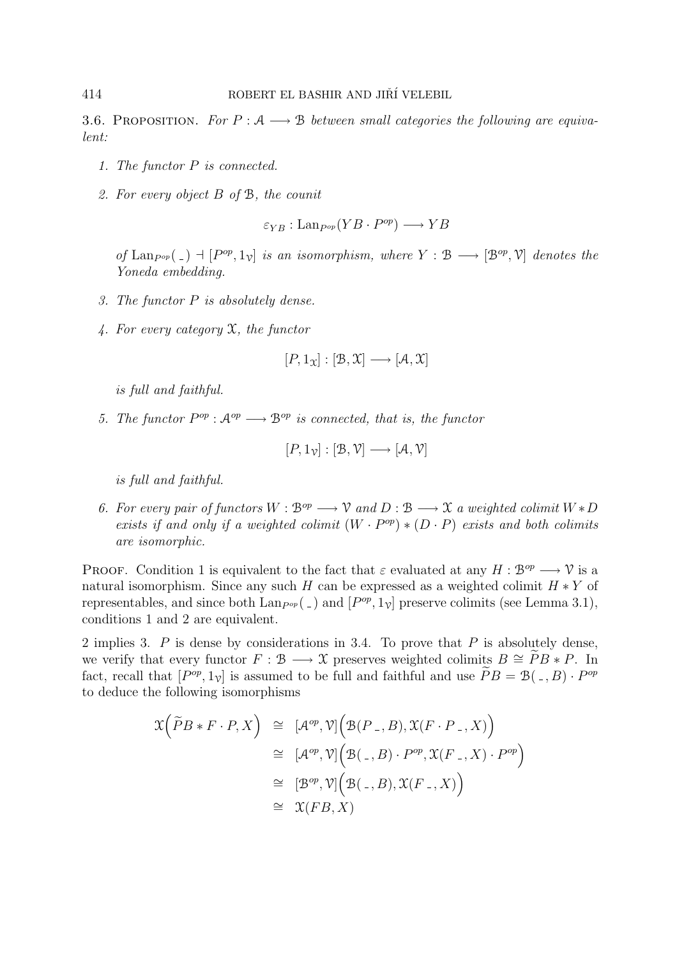3.6. PROPOSITION. For  $P : A \longrightarrow B$  between small categories the following are equivalent:

- 1. The functor P is connected.
- 2. For every object B of B, the counit

$$
\varepsilon_{YB}: \text{Lan}_{P^{op}}(YB \cdot P^{op}) \longrightarrow YB
$$

of Lan<sub>Pop</sub>(-)  $\exists$  [P<sup>op</sup>, 1<sub>V</sub>] is an isomorphism, where  $Y : \mathcal{B} \longrightarrow [\mathcal{B}^{op}, \mathcal{V}]$  denotes the Yoneda embedding.

- 3. The functor P is absolutely dense.
- 4. For every category  $\mathfrak X$ , the functor

$$
[P,1_{\mathfrak{X}}]:[\mathfrak{B},\mathfrak{X}]\longrightarrow[\mathcal{A},\mathfrak{X}]
$$

is full and faithful.

5. The functor  $P^{op}: \mathcal{A}^{op} \longrightarrow \mathcal{B}^{op}$  is connected, that is, the functor

$$
[P,1_{\mathcal{V}}] : [\mathcal{B}, \mathcal{V}] \longrightarrow [\mathcal{A}, \mathcal{V}]
$$

is full and faithful.

6. For every pair of functors  $W : \mathcal{B}^{op} \longrightarrow \mathcal{V}$  and  $D : \mathcal{B} \longrightarrow \mathcal{X}$  a weighted colimit  $W * D$ exists if and only if a weighted colimit  $(W \cdot P^{op}) * (D \cdot P)$  exists and both colimits are isomorphic.

PROOF. Condition 1 is equivalent to the fact that  $\varepsilon$  evaluated at any  $H : \mathcal{B}^{op} \longrightarrow \mathcal{V}$  is a natural isomorphism. Since any such H can be expressed as a weighted colimit  $H * Y$  of representables, and since both  $\text{Lan}_{P^{\text{op}}}(\_)$  and  $[P^{\text{op}}, 1_{\nu}]$  preserve colimits (see Lemma 3.1), conditions 1 and 2 are equivalent.

2 implies 3.  $P$  is dense by considerations in 3.4. To prove that  $P$  is absolutely dense, we verify that every functor  $F : \mathcal{B} \longrightarrow \mathcal{X}$  preserves weighted colimits  $B \cong \widetilde{P}B * P$ . In fact, recall that  $[P^{op}, 1_{\gamma}]$  is assumed to be full and faithful and use  $PB = \mathcal{B}(. , B) \cdot P^{op}$ to deduce the following isomorphisms

$$
\mathcal{X}\Big(\widetilde{P}B * F \cdot P, X\Big) \cong [\mathcal{A}^{op}, \mathcal{V}]\Big(\mathcal{B}(P_-, B), \mathcal{X}(F \cdot P_-, X)\Big) \cong [\mathcal{A}^{op}, \mathcal{V}]\Big(\mathcal{B}(-, B) \cdot P^{op}, \mathcal{X}(F_-, X) \cdot P^{op}\Big) \cong [\mathcal{B}^{op}, \mathcal{V}]\Big(\mathcal{B}(-, B), \mathcal{X}(F_-, X)\Big) \cong \mathcal{X}(FB, X)
$$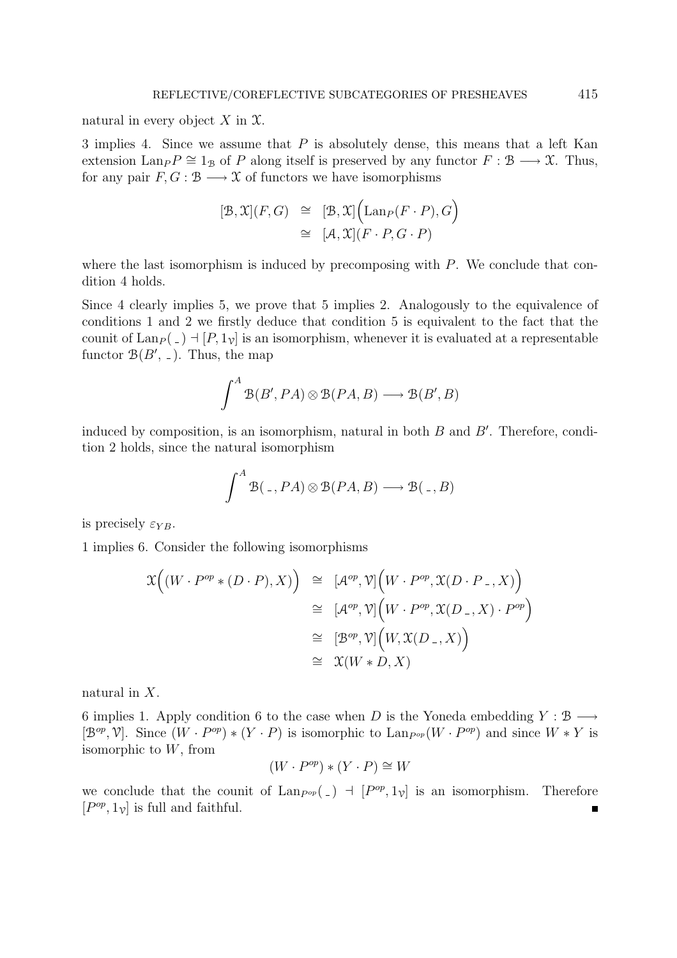natural in every object  $X$  in  $\mathfrak{X}$ .

3 implies 4. Since we assume that P is absolutely dense, this means that a left Kan extension Lan<sub>P</sub>  $\cong$  1<sub>B</sub> of P along itself is preserved by any functor  $F : \mathcal{B} \longrightarrow \mathcal{X}$ . Thus, for any pair  $F, G : \mathcal{B} \longrightarrow \mathcal{X}$  of functors we have isomorphisms

$$
[\mathcal{B}, \mathcal{X}](F, G) \cong [\mathcal{B}, \mathcal{X}] (\text{Lan}_{P}(F \cdot P), G)
$$
  

$$
\cong [\mathcal{A}, \mathcal{X}](F \cdot P, G \cdot P)
$$

where the last isomorphism is induced by precomposing with  $P$ . We conclude that condition 4 holds.

Since 4 clearly implies 5, we prove that 5 implies 2. Analogously to the equivalence of conditions 1 and 2 we firstly deduce that condition 5 is equivalent to the fact that the counit of  $\text{Lan}_P(\square) \dashv [P, 1_\mathcal{V}]$  is an isomorphism, whenever it is evaluated at a representable functor  $\mathcal{B}(B', \, \_).$  Thus, the map

$$
\int^A \mathcal{B}(B', PA) \otimes \mathcal{B}(PA, B) \longrightarrow \mathcal{B}(B', B)
$$

induced by composition, is an isomorphism, natural in both  $B$  and  $B'$ . Therefore, condition 2 holds, since the natural isomorphism

$$
\int^{A} \mathcal{B}(\, .\, , PA) \otimes \mathcal{B}(PA, B) \longrightarrow \mathcal{B}(\, .\, , B)
$$

is precisely  $\varepsilon_{YB}$ .

1 implies 6. Consider the following isomorphisms

$$
\mathcal{X}((W \cdot P^{op} * (D \cdot P), X)) \cong [\mathcal{A}^{op}, \mathcal{V}](W \cdot P^{op}, \mathcal{X}(D \cdot P_{-}, X))
$$
  
\n
$$
\cong [\mathcal{A}^{op}, \mathcal{V}](W \cdot P^{op}, \mathcal{X}(D_{-}, X) \cdot P^{op})
$$
  
\n
$$
\cong [\mathcal{B}^{op}, \mathcal{V}](W, \mathcal{X}(D_{-}, X))
$$
  
\n
$$
\cong \mathcal{X}(W * D, X)
$$

natural in X.

6 implies 1. Apply condition 6 to the case when D is the Yoneda embedding  $Y : \mathcal{B} \longrightarrow$  $[\mathcal{B}^{op}, \mathcal{V}]$ . Since  $(W \cdot P^{op}) * (Y \cdot P)$  is isomorphic to  $\text{Lan}_{P^{op}}(W \cdot P^{op})$  and since  $W * Y$  is isomorphic to W, from

$$
(W \cdot P^{op}) * (Y \cdot P) \cong W
$$

we conclude that the counit of  $\text{Lan}_{P^{\text{op}}}(-)$  +  $[P^{\text{op}}, 1_{\nu}]$  is an isomorphism. Therefore  $[P^{op}, 1_{\mathcal{V}}]$  is full and faithful. Ē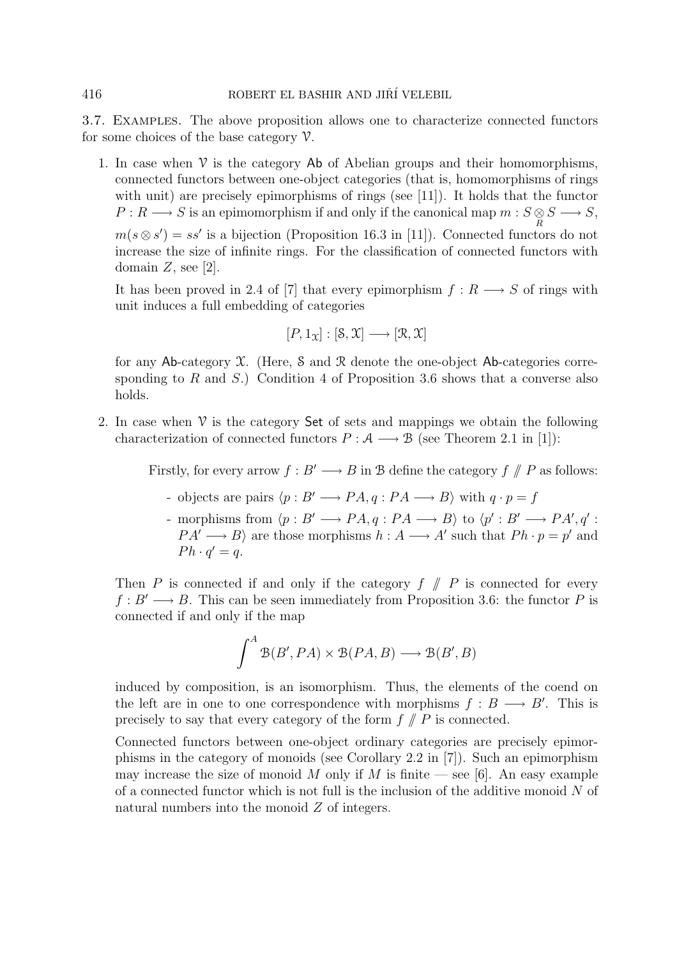3.7. Examples. The above proposition allows one to characterize connected functors for some choices of the base category  $\mathcal V$ .

1. In case when  $\mathcal V$  is the category  $\mathsf{Ab}$  of Abelian groups and their homomorphisms, connected functors between one-object categories (that is, homomorphisms of rings with unit) are precisely epimorphisms of rings (see [11]). It holds that the functor  $P: R \longrightarrow S$  is an epimomorphism if and only if the canonical map  $m: S \otimes S \longrightarrow S$ ,  $m(s \otimes s') = ss'$  is a bijection (Proposition 16.3 in [11]). Connected functors do not increase the size of infinite rings. For the classification of connected functors with domain  $Z$ , see [2].

It has been proved in 2.4 of [7] that every epimorphism  $f: R \longrightarrow S$  of rings with unit induces a full embedding of categories

$$
[P,1_{\mathfrak{X}}]:[\mathcal{S},\mathfrak{X}]\longrightarrow[\mathcal{R},\mathfrak{X}]
$$

for any Ab-category  $X$ . (Here, S and R denote the one-object Ab-categories corresponding to R and S.) Condition 4 of Proposition 3.6 shows that a converse also holds.

2. In case when  $\mathcal V$  is the category **Set** of sets and mappings we obtain the following characterization of connected functors  $P : A \longrightarrow B$  (see Theorem 2.1 in [1]):

Firstly, for every arrow  $f : B' \longrightarrow B$  in B define the category  $f \text{ // } P$  as follows:

- objects are pairs  $\langle p : B' \longrightarrow PA, q : PA \longrightarrow B \rangle$  with  $q \cdot p = f$
- morphisms from  $\langle p : B' \longrightarrow PA, q : PA \longrightarrow B \rangle$  to  $\langle p' : B' \longrightarrow PA', q' :$  $PA' \longrightarrow B$  are those morphisms  $h : A \longrightarrow A'$  such that  $Ph \cdot p = p'$  and  $Ph \cdot q' = q.$

Then P is connected if and only if the category  $f \text{ }\mathscr{N}$  P is connected for every  $f : B' \longrightarrow B$ . This can be seen immediately from Proposition 3.6: the functor P is connected if and only if the map

$$
\int^A \mathcal{B}(B', PA) \times \mathcal{B}(PA, B) \longrightarrow \mathcal{B}(B', B)
$$

induced by composition, is an isomorphism. Thus, the elements of the coend on the left are in one to one correspondence with morphisms  $f : B \longrightarrow B'$ . This is precisely to say that every category of the form  $f \nmid P$  is connected.

Connected functors between one-object ordinary categories are precisely epimorphisms in the category of monoids (see Corollary 2.2 in [7]). Such an epimorphism may increase the size of monoid M only if M is finite — see [6]. An easy example of a connected functor which is not full is the inclusion of the additive monoid  $N$  of natural numbers into the monoid Z of integers.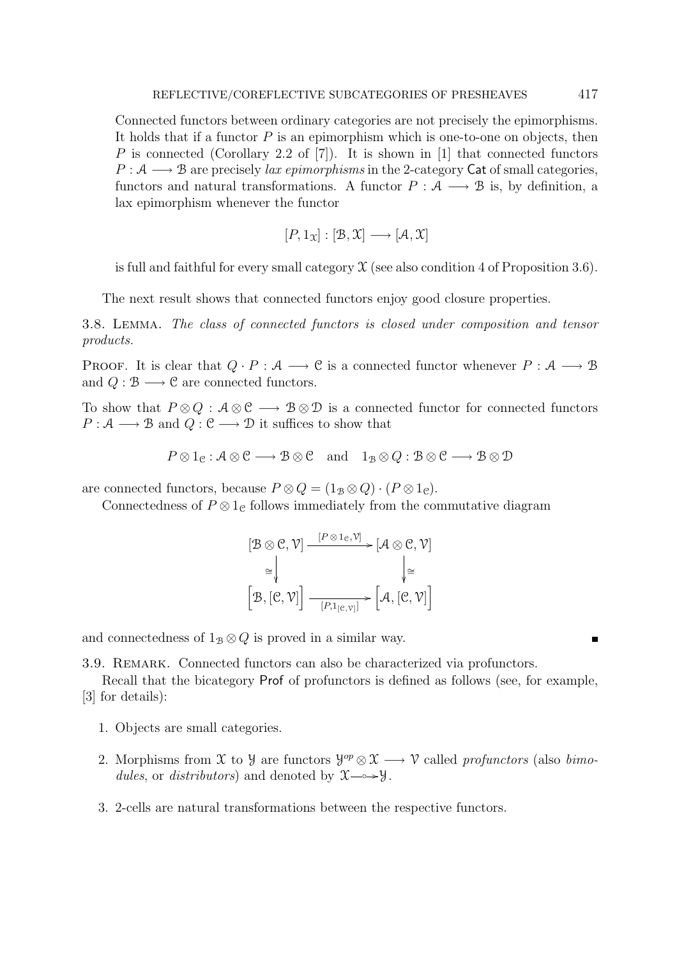Connected functors between ordinary categories are not precisely the epimorphisms. It holds that if a functor  $P$  is an epimorphism which is one-to-one on objects, then P is connected (Corollary 2.2 of [7]). It is shown in [1] that connected functors  $P: \mathcal{A} \longrightarrow \mathcal{B}$  are precisely lax epimorphisms in the 2-category Cat of small categories, functors and natural transformations. A functor  $P : A \longrightarrow B$  is, by definition, a lax epimorphism whenever the functor

$$
[P,1_{\mathfrak{X}}]:[\mathfrak{B},\mathfrak{X}]\longrightarrow[\mathcal{A},\mathfrak{X}]
$$

is full and faithful for every small category  $\mathfrak X$  (see also condition 4 of Proposition 3.6).

The next result shows that connected functors enjoy good closure properties.

3.8. Lemma. The class of connected functors is closed under composition and tensor products.

PROOF. It is clear that  $Q \cdot P : A \longrightarrow C$  is a connected functor whenever  $P : A \longrightarrow B$ and  $Q : \mathcal{B} \longrightarrow \mathcal{C}$  are connected functors.

To show that  $P \otimes Q : A \otimes \mathcal{C} \longrightarrow B \otimes \mathcal{D}$  is a connected functor for connected functors  $P: \mathcal{A} \longrightarrow \mathcal{B}$  and  $Q: \mathcal{C} \longrightarrow \mathcal{D}$  it suffices to show that

$$
P \otimes 1_{\mathcal{C}} : A \otimes \mathcal{C} \longrightarrow B \otimes \mathcal{C} \text{ and } 1_{\mathcal{B}} \otimes Q : B \otimes \mathcal{C} \longrightarrow B \otimes \mathcal{D}
$$

are connected functors, because  $P \otimes Q = (1_B \otimes Q) \cdot (P \otimes 1_C)$ .

Connectedness of  $P \otimes 1_{\mathcal{C}}$  follows immediately from the commutative diagram

$$
[\mathcal{B} \otimes \mathcal{C}, \mathcal{V}] \xrightarrow{[P \otimes 1_{\mathcal{C}}, \mathcal{V}]} [\mathcal{A} \otimes \mathcal{C}, \mathcal{V}]
$$

$$
\cong \downarrow \qquad \qquad \downarrow \cong
$$

$$
[\mathcal{B}, [\mathcal{C}, \mathcal{V}]] \xrightarrow{[P, 1_{[\mathcal{C}, \mathcal{V}]}]} [\mathcal{A}, [\mathcal{C}, \mathcal{V}]]
$$

and connectedness of  $1_B \otimes Q$  is proved in a similar way.

3.9. Remark. Connected functors can also be characterized via profunctors.

Recall that the bicategory Prof of profunctors is defined as follows (see, for example, [3] for details):

- 1. Objects are small categories.
- 2. Morphisms from X to Y are functors  $\mathcal{Y}^{op} \otimes \mathcal{X} \longrightarrow \mathcal{V}$  called profunctors (also bimodules, or distributors) and denoted by  $\mathfrak{X} \longrightarrow \mathcal{Y}$ .
- 3. 2-cells are natural transformations between the respective functors.

 $\blacksquare$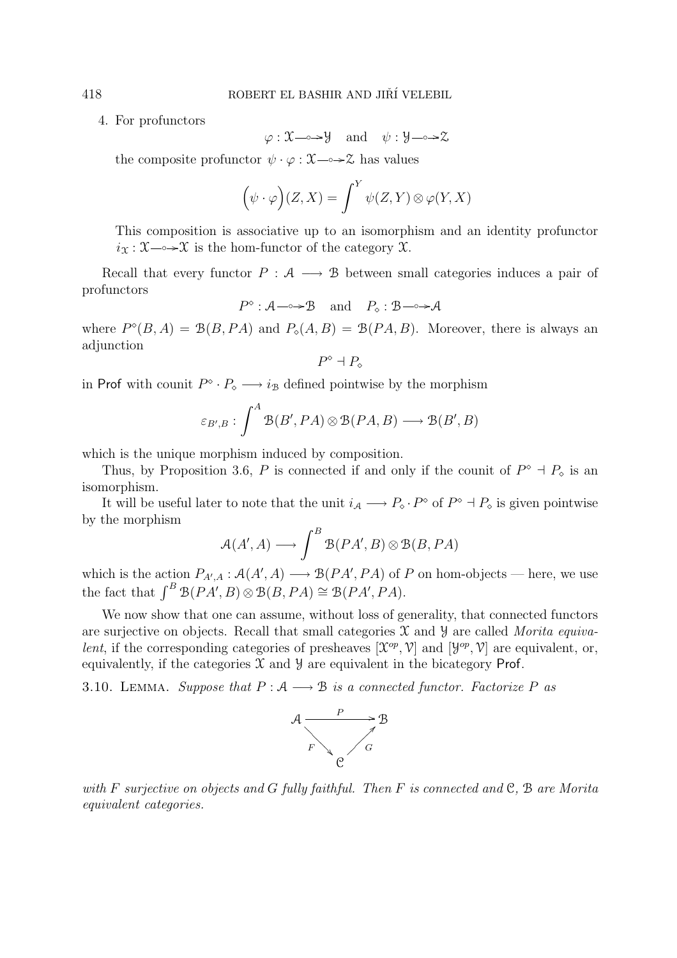4. For profunctors

$$
\varphi: \mathfrak{X} \longrightarrow \mathcal{Y} \quad \text{and} \quad \psi: \mathcal{Y} \longrightarrow \mathcal{Z}
$$

the composite profunctor  $\psi \cdot \varphi : \mathfrak{X} \longrightarrow \mathfrak{X}$  has values

$$
(\psi \cdot \varphi)(Z, X) = \int^Y \psi(Z, Y) \otimes \varphi(Y, X)
$$

This composition is associative up to an isomorphism and an identity profunctor  $i_{\mathfrak{X}} : \mathfrak{X} \longrightarrow \mathfrak{X}$  is the hom-functor of the category  $\mathfrak{X}$ .

Recall that every functor  $P : A \longrightarrow B$  between small categories induces a pair of profunctors

$$
P^{\diamond} : \mathcal{A} \longrightarrow \mathcal{B} \text{ and } P_{\diamond} : \mathcal{B} \longrightarrow \mathcal{A}
$$

where  $P^{\diamond}(B, A) = \mathcal{B}(B, PA)$  and  $P_{\diamond}(A, B) = \mathcal{B}(PA, B)$ . Moreover, there is always an adjunction

$$
P^\diamond \dashv P_\diamond
$$

in Prof with counit  $P^{\diamond} \cdot P_{\diamond} \longrightarrow i_{\mathcal{B}}$  defined pointwise by the morphism

$$
\varepsilon_{B',B}: \int^A \mathfrak{B}(B', PA) \otimes \mathfrak{B}(PA, B) \longrightarrow \mathfrak{B}(B', B)
$$

which is the unique morphism induced by composition.

Thus, by Proposition 3.6, P is connected if and only if the counit of  $P^{\diamond} \dashv P_{\diamond}$  is an isomorphism.

It will be useful later to note that the unit  $i_A \longrightarrow P_{\circ} \cdot P^{\circ}$  of  $P^{\circ} \dashv P_{\circ}$  is given pointwise by the morphism

$$
\mathcal{A}(A',A) \longrightarrow \int^B \mathcal{B}(PA',B) \otimes \mathcal{B}(B,PA)
$$

which is the action  $P_{A',A}: \mathcal{A}(A',A) \longrightarrow \mathcal{B}(PA',PA)$  of P on hom-objects — here, we use the fact that  $\int^B \mathcal{B}(PA',B) \otimes \mathcal{B}(B,PA) \cong \mathcal{B}(PA',PA)$ .

We now show that one can assume, without loss of generality, that connected functors are surjective on objects. Recall that small categories  $\mathfrak X$  and  $\mathfrak Y$  are called Morita equivalent, if the corresponding categories of presheaves  $[\mathfrak{X}^{op}, \mathfrak{V}]$  and  $[\mathcal{Y}^{op}, \mathcal{V}]$  are equivalent, or, equivalently, if the categories  $\mathfrak X$  and  $\mathfrak Y$  are equivalent in the bicategory Prof.

3.10. LEMMA. Suppose that  $P : A \longrightarrow B$  is a connected functor. Factorize P as



with F surjective on objects and G fully faithful. Then F is connected and  $\mathfrak{C}, \mathfrak{B}$  are Morita equivalent categories.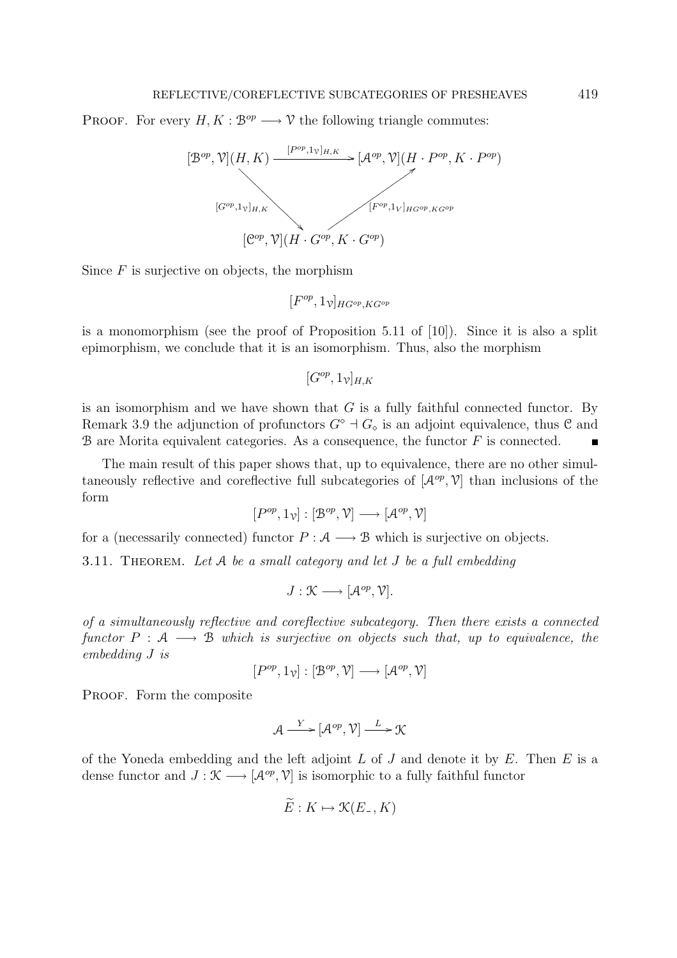PROOF. For every  $H, K : \mathcal{B}^{op} \longrightarrow \mathcal{V}$  the following triangle commutes:



Since  $F$  is surjective on objects, the morphism

 $[F^{op}, 1_{\mathcal{V}}]_{HG^{op},KG^{op}}$ 

is a monomorphism (see the proof of Proposition 5.11 of [10]). Since it is also a split epimorphism, we conclude that it is an isomorphism. Thus, also the morphism

$$
[G^{op}, 1_{\mathcal{V}}]_{H,K}
$$

is an isomorphism and we have shown that  $G$  is a fully faithful connected functor. By Remark 3.9 the adjunction of profunctors  $G^{\diamond} \dashv G_{\diamond}$  is an adjoint equivalence, thus  $\mathfrak C$  and  $\mathcal B$  are Morita equivalent categories. As a consequence, the functor  $F$  is connected.  $\blacksquare$ 

The main result of this paper shows that, up to equivalence, there are no other simultaneously reflective and coreflective full subcategories of  $[\mathcal{A}^{op}, \mathcal{V}]$  than inclusions of the form

$$
[P^{op},1_{\mathcal{V}}]:[\mathcal{B}^{op},\mathcal{V}]\longrightarrow[\mathcal{A}^{op},\mathcal{V}]
$$

for a (necessarily connected) functor  $P : A \longrightarrow B$  which is surjective on objects.

3.11. THEOREM. Let  $A$  be a small category and let  $J$  be a full embedding

$$
J: \mathcal{K} \longrightarrow [\mathcal{A}^{op}, \mathcal{V}].
$$

of a simultaneously reflective and coreflective subcategory. Then there exists a connected functor  $P : A \longrightarrow B$  which is surjective on objects such that, up to equivalence, the embedding J is

 $[P^{op}, 1_{\mathcal{V}}]:[\mathcal{B}^{op}, \mathcal{V}] \longrightarrow [\mathcal{A}^{op}, \mathcal{V}]$ 

PROOF. Form the composite

$$
\mathcal{A} \xrightarrow{Y} [\mathcal{A}^{op}, \mathcal{V}] \xrightarrow{L} \mathcal{K}
$$

of the Yoneda embedding and the left adjoint  $L$  of  $J$  and denote it by  $E$ . Then  $E$  is a dense functor and  $J : \mathcal{K} \longrightarrow [\mathcal{A}^{op}, \mathcal{V}]$  is isomorphic to a fully faithful functor

$$
\widetilde{E}: K \mapsto \mathcal{K}(E_-, K)
$$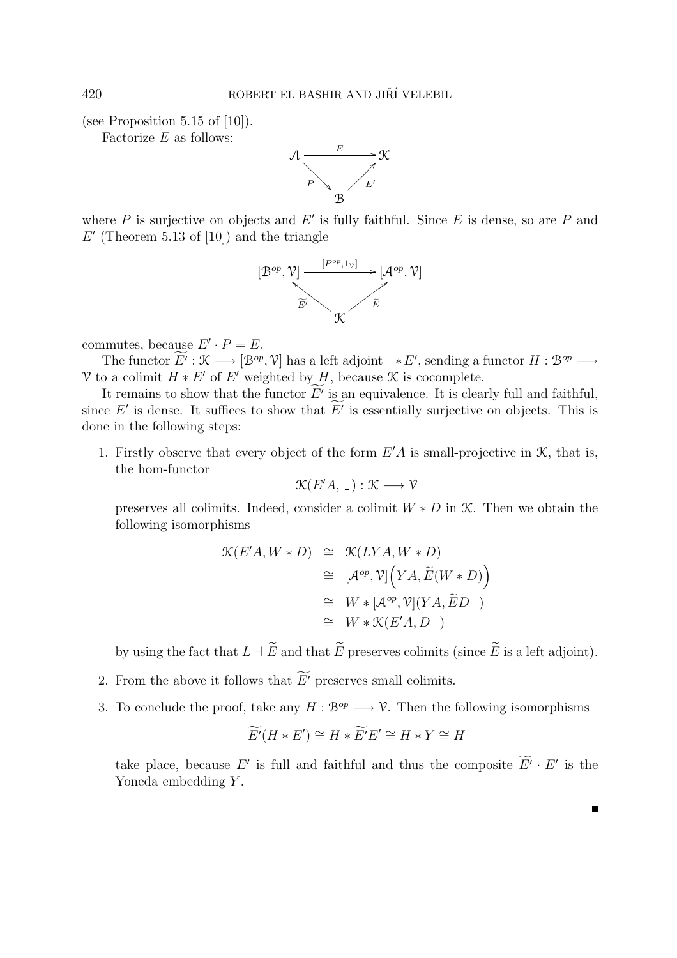(see Proposition 5.15 of [10]).

Factorize  $E$  as follows:



where  $P$  is surjective on objects and  $E'$  is fully faithful. Since  $E$  is dense, so are  $P$  and  $E'$  (Theorem 5.13 of [10]) and the triangle



commutes, because  $E' \cdot P = E$ .

The functor  $E': \mathcal{K} \longrightarrow [\mathcal{B}^{op}, \mathcal{V}]$  has a left adjoint  $\Box * E'$ , sending a functor  $H : \mathcal{B}^{op} \longrightarrow$ V to a colimit  $H * E'$  of E' weighted by H, because  $\mathcal K$  is cocomplete.

It remains to show that the functor  $E'$  is an equivalence. It is clearly full and faithful, since  $E'$  is dense. It suffices to show that  $E'$  is essentially surjective on objects. This is done in the following steps:

1. Firstly observe that every object of the form  $E'A$  is small-projective in  $\mathcal{K}$ , that is, the hom-functor

$$
\mathcal{K}(E'A, \_) : \mathcal{K} \longrightarrow \mathcal{V}
$$

preserves all colimits. Indeed, consider a colimit  $W * D$  in  $K$ . Then we obtain the following isomorphisms

$$
\mathcal{K}(E'A, W * D) \cong \mathcal{K}(LYA, W * D)
$$
  
\n
$$
\cong [\mathcal{A}^{op}, \mathcal{V}]\Big(YA, \widetilde{E}(W * D)\Big)
$$
  
\n
$$
\cong W * [\mathcal{A}^{op}, \mathcal{V}](YA, \widetilde{E}D_{-})
$$
  
\n
$$
\cong W * \mathcal{K}(E'A, D_{-})
$$

by using the fact that  $L \dashv E$  and that E preserves colimits (since E is a left adjoint).

- 2. From the above it follows that  $E'$  preserves small colimits.
- 3. To conclude the proof, take any  $H : \mathcal{B}^{op} \longrightarrow \mathcal{V}$ . Then the following isomorphisms

$$
\widetilde{E'}(H * E') \cong H * \widetilde{E'}E' \cong H * Y \cong H
$$

take place, because E' is full and faithful and thus the composite  $E' \cdot E'$  is the Yoneda embedding Y.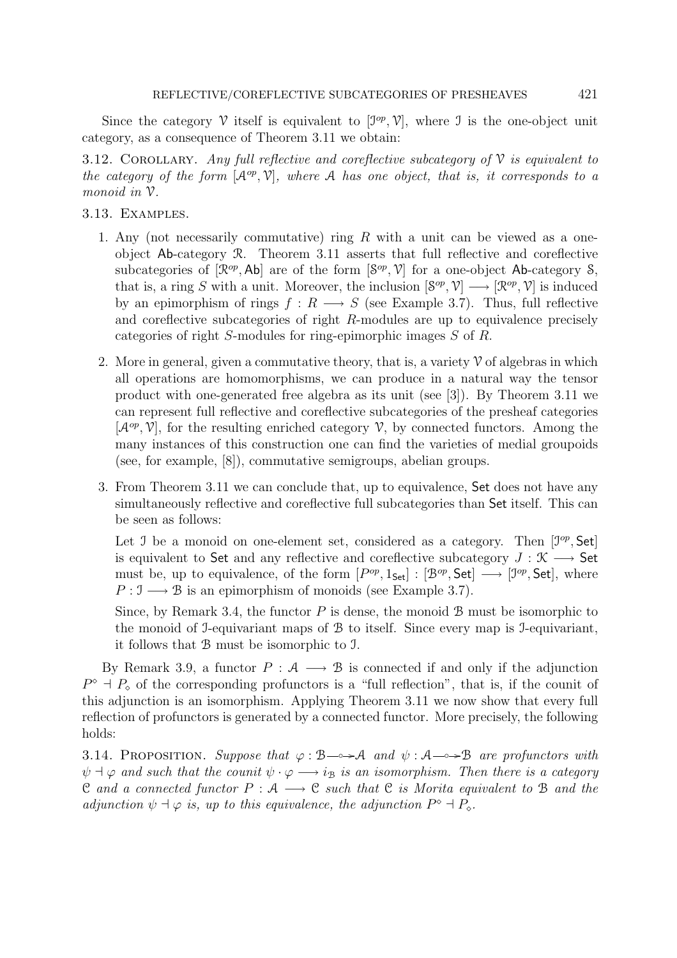Since the category V itself is equivalent to  $[\mathcal{I}^{op}, \mathcal{V}]$ , where J is the one-object unit category, as a consequence of Theorem 3.11 we obtain:

3.12. COROLLARY. Any full reflective and coreflective subcategory of  $\mathcal V$  is equivalent to the category of the form  $[A^{op}, V]$ , where A has one object, that is, it corresponds to a monoid in V.

3.13. Examples.

- 1. Any (not necessarily commutative) ring  $R$  with a unit can be viewed as a oneobject Ab-category R. Theorem 3.11 asserts that full reflective and coreflective subcategories of  $[\mathcal{R}^{op}, \mathsf{Ab}]$  are of the form  $[\mathcal{S}^{op}, \mathcal{V}]$  for a one-object Ab-category S, that is, a ring S with a unit. Moreover, the inclusion  $\mathcal{S}^{op}, \mathcal{V} \rightarrow [\mathcal{R}^{op}, \mathcal{V}]$  is induced by an epimorphism of rings  $f : R \longrightarrow S$  (see Example 3.7). Thus, full reflective and coreflective subcategories of right R-modules are up to equivalence precisely categories of right S-modules for ring-epimorphic images S of R.
- 2. More in general, given a commutative theory, that is, a variety  $\mathcal V$  of algebras in which all operations are homomorphisms, we can produce in a natural way the tensor product with one-generated free algebra as its unit (see [3]). By Theorem 3.11 we can represent full reflective and coreflective subcategories of the presheaf categories  $[{\cal A}^{op}, V]$ , for the resulting enriched category V, by connected functors. Among the many instances of this construction one can find the varieties of medial groupoids (see, for example, [8]), commutative semigroups, abelian groups.
- 3. From Theorem 3.11 we can conclude that, up to equivalence, Set does not have any simultaneously reflective and coreflective full subcategories than Set itself. This can be seen as follows:

Let J be a monoid on one-element set, considered as a category. Then  $[\mathcal{I}^{op}, \mathsf{Set}]$ is equivalent to Set and any reflective and coreflective subcategory  $J: \mathcal{K} \longrightarrow$  Set must be, up to equivalence, of the form  $[P^{op}, 1_{Set}] : [\mathcal{B}^{op}, \mathsf{Set}] \longrightarrow [\mathcal{I}^{op}, \mathsf{Set}]$ , where  $P: \mathcal{I} \longrightarrow \mathcal{B}$  is an epimorphism of monoids (see Example 3.7).

Since, by Remark 3.4, the functor  $P$  is dense, the monoid  $B$  must be isomorphic to the monoid of I-equivariant maps of B to itself. Since every map is I-equivariant, it follows that B must be isomorphic to I.

By Remark 3.9, a functor  $P : A \longrightarrow B$  is connected if and only if the adjunction  $P^{\diamond}$  +  $P_{\diamond}$  of the corresponding profunctors is a "full reflection", that is, if the counit of this adjunction is an isomorphism. Applying Theorem 3.11 we now show that every full reflection of profunctors is generated by a connected functor. More precisely, the following holds:

3.14. PROPOSITION. Suppose that  $\varphi : \mathcal{B} \longrightarrow \mathcal{A}$  and  $\psi : \mathcal{A} \longrightarrow \mathcal{B}$  are profunctors with  $\psi \dashv \varphi$  and such that the counit  $\psi \cdot \varphi \longrightarrow i_{\mathcal{B}}$  is an isomorphism. Then there is a category C and a connected functor  $P: \mathcal{A} \longrightarrow \mathcal{C}$  such that C is Morita equivalent to B and the adjunction  $\psi \dashv \varphi$  is, up to this equivalence, the adjunction  $P^{\diamond} \dashv P_{\diamond}$ .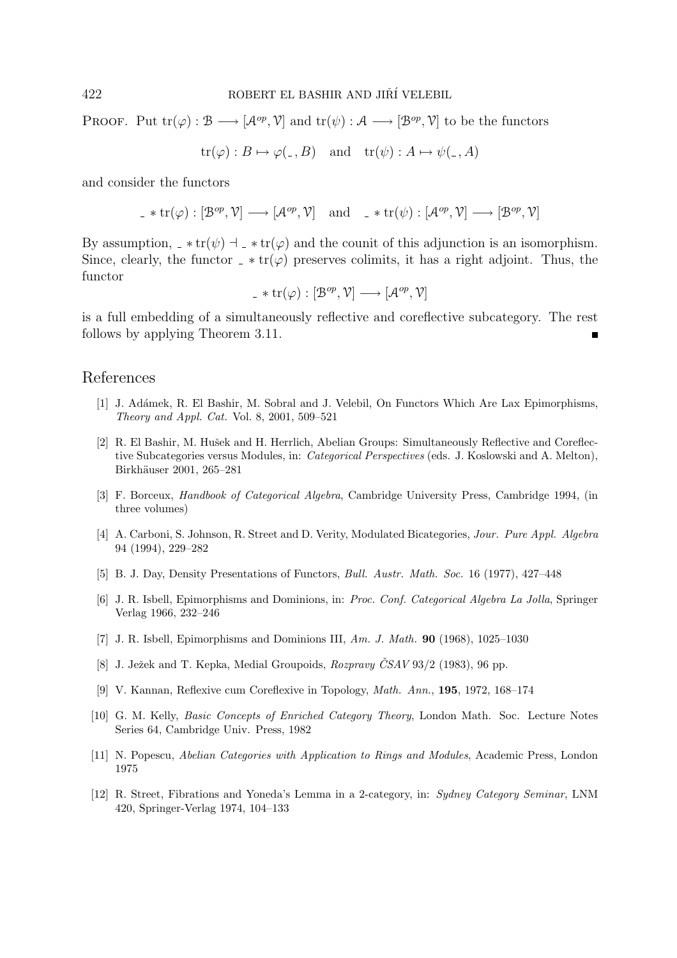PROOF. Put  $tr(\varphi): \mathcal{B} \longrightarrow [\mathcal{A}^{op}, \mathcal{V}]$  and  $tr(\psi): \mathcal{A} \longrightarrow [\mathcal{B}^{op}, \mathcal{V}]$  to be the functors

 $\text{tr}(\varphi) : B \mapsto \varphi(\overline{\ } ,B)$  and  $\text{tr}(\psi) : A \mapsto \psi(\overline{\ } ,A)$ 

and consider the functors

$$
\underline{\phantom{x}}^{\mathcal{A}} \text{ tr}(\varphi) : [\mathcal{B}^{op}, \mathcal{V}] \longrightarrow [\mathcal{A}^{op}, \mathcal{V}] \quad \text{and} \quad \underline{\phantom{x}}^{\mathcal{A}} \text{ tr}(\psi) : [\mathcal{A}^{op}, \mathcal{V}] \longrightarrow [\mathcal{B}^{op}, \mathcal{V}]
$$

By assumption,  $-\ast \text{tr}(\psi)$  +  $-\ast \text{tr}(\varphi)$  and the counit of this adjunction is an isomorphism. Since, clearly, the functor  $-\ast \text{tr}(\varphi)$  preserves colimits, it has a right adjoint. Thus, the functor

$$
\underline{\ \ }\ast\operatorname{tr}(\varphi):[\mathcal{B}^{op},\mathcal{V}]\longrightarrow[\mathcal{A}^{op},\mathcal{V}]
$$

is a full embedding of a simultaneously reflective and coreflective subcategory. The rest follows by applying Theorem 3.11.

### References

- [1] J. Adámek, R. El Bashir, M. Sobral and J. Velebil, On Functors Which Are Lax Epimorphisms, *Theory and Appl. Cat.* Vol. 8, 2001, 509–521
- [2] R. El Bashir, M. Hušek and H. Herrlich, Abelian Groups: Simultaneously Reflective and Coreflective Subcategories versus Modules, in: *Categorical Perspectives* (eds. J. Koslowski and A. Melton), Birkhäuser 2001, 265-281
- [3] F. Borceux, *Handbook of Categorical Algebra*, Cambridge University Press, Cambridge 1994, (in three volumes)
- [4] A. Carboni, S. Johnson, R. Street and D. Verity, Modulated Bicategories, *Jour. Pure Appl. Algebra* 94 (1994), 229–282
- [5] B. J. Day, Density Presentations of Functors, *Bull. Austr. Math. Soc.* 16 (1977), 427–448
- [6] J. R. Isbell, Epimorphisms and Dominions, in: *Proc. Conf. Categorical Algebra La Jolla*, Springer Verlag 1966, 232–246
- [7] J. R. Isbell, Epimorphisms and Dominions III, *Am. J. Math.* **90** (1968), 1025–1030
- [8] J. Ježek and T. Kepka, Medial Groupoids, *Rozpravy ČSAV* 93/2 (1983), 96 pp.
- [9] V. Kannan, Reflexive cum Coreflexive in Topology, *Math. Ann.*, **195**, 1972, 168–174
- [10] G. M. Kelly, *Basic Concepts of Enriched Category Theory*, London Math. Soc. Lecture Notes Series 64, Cambridge Univ. Press, 1982
- [11] N. Popescu, *Abelian Categories with Application to Rings and Modules*, Academic Press, London 1975
- [12] R. Street, Fibrations and Yoneda's Lemma in a 2-category, in: *Sydney Category Seminar*, LNM 420, Springer-Verlag 1974, 104–133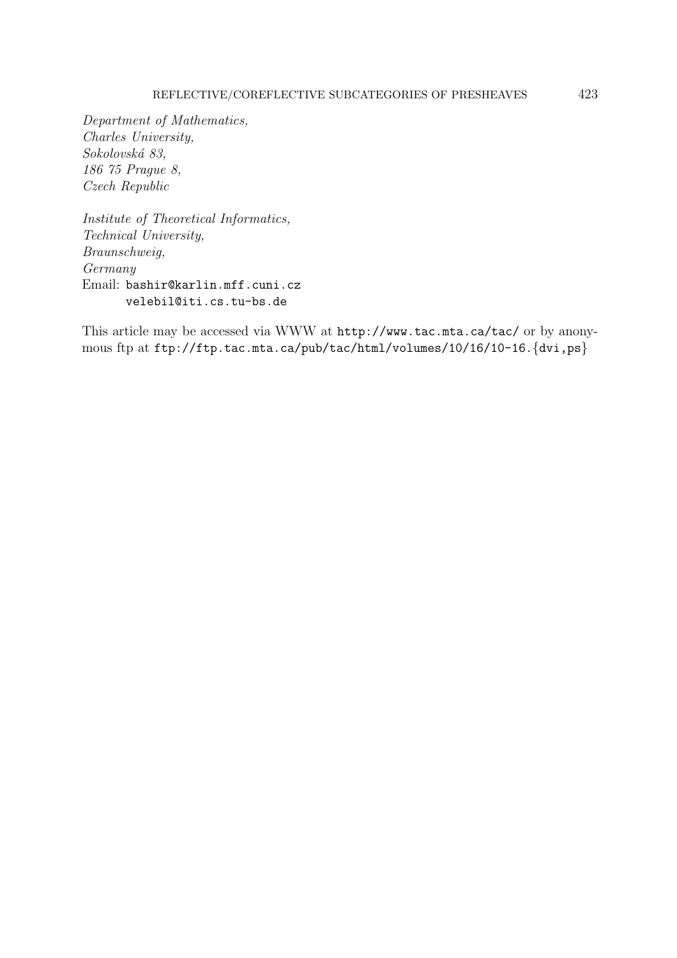## REFLECTIVE/COREFLECTIVE SUBCATEGORIES OF PRESHEAVES 423

Department of Mathematics, Charles University, Sokolovská 83, 186 75 Prague 8, Czech Republic

Institute of Theoretical Informatics, Technical University, Braunschweig, Germany Email: bashir@karlin.mff.cuni.cz velebil@iti.cs.tu-bs.de

This article may be accessed via WWW at http://www.tac.mta.ca/tac/ or by anonymous ftp at ftp://ftp.tac.mta.ca/pub/tac/html/volumes/10/16/10-16. $\{dvi,ps\}$